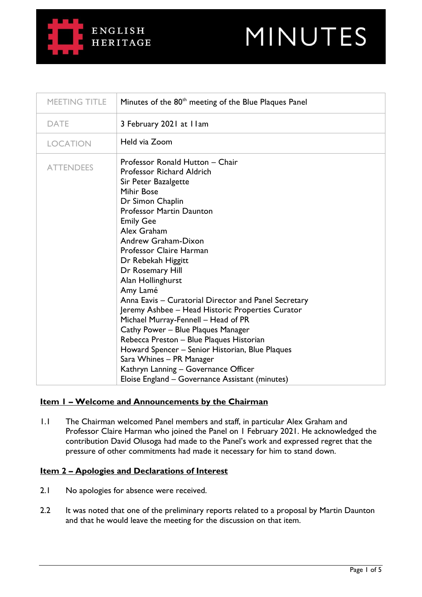# **ENGLISH HERITAGE**



| MEETING TITLE    | Minutes of the 80 <sup>th</sup> meeting of the Blue Plaques Panel                                                                                                                                                                                                                                                                                                                                                                                                                                                                                                                                                                                                                                                                        |
|------------------|------------------------------------------------------------------------------------------------------------------------------------------------------------------------------------------------------------------------------------------------------------------------------------------------------------------------------------------------------------------------------------------------------------------------------------------------------------------------------------------------------------------------------------------------------------------------------------------------------------------------------------------------------------------------------------------------------------------------------------------|
| <b>DATE</b>      | 3 February 2021 at Ilam                                                                                                                                                                                                                                                                                                                                                                                                                                                                                                                                                                                                                                                                                                                  |
| <b>LOCATION</b>  | Held via Zoom                                                                                                                                                                                                                                                                                                                                                                                                                                                                                                                                                                                                                                                                                                                            |
| <b>ATTENDEES</b> | Professor Ronald Hutton - Chair<br>Professor Richard Aldrich<br>Sir Peter Bazalgette<br>Mihir Bose<br>Dr Simon Chaplin<br><b>Professor Martin Daunton</b><br><b>Emily Gee</b><br>Alex Graham<br>Andrew Graham-Dixon<br>Professor Claire Harman<br>Dr Rebekah Higgitt<br>Dr Rosemary Hill<br>Alan Hollinghurst<br>Amy Lamé<br>Anna Eavis - Curatorial Director and Panel Secretary<br>Jeremy Ashbee - Head Historic Properties Curator<br>Michael Murray-Fennell - Head of PR<br>Cathy Power - Blue Plaques Manager<br>Rebecca Preston - Blue Plaques Historian<br>Howard Spencer - Senior Historian, Blue Plaques<br>Sara Whines - PR Manager<br>Kathryn Lanning - Governance Officer<br>Eloise England - Governance Assistant (minutes) |

# **Item 1 – Welcome and Announcements by the Chairman**

1.1 The Chairman welcomed Panel members and staff, in particular Alex Graham and Professor Claire Harman who joined the Panel on 1 February 2021. He acknowledged the contribution David Olusoga had made to the Panel's work and expressed regret that the pressure of other commitments had made it necessary for him to stand down.

# **Item 2 – Apologies and Declarations of Interest**

- 2.1 No apologies for absence were received.
- 2.2 It was noted that one of the preliminary reports related to a proposal by Martin Daunton and that he would leave the meeting for the discussion on that item.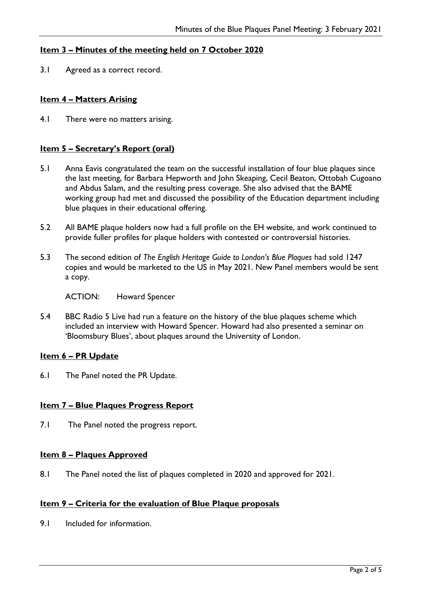# **Item 3 – Minutes of the meeting held on 7 October 2020**

3.1 Agreed as a correct record.

## **Item 4 – Matters Arising**

4.1 There were no matters arising.

## **Item 5 – Secretary's Report (oral)**

- 5.1 Anna Eavis congratulated the team on the successful installation of four blue plaques since the last meeting, for Barbara Hepworth and John Skeaping, Cecil Beaton, Ottobah Cugoano and Abdus Salam, and the resulting press coverage. She also advised that the BAME working group had met and discussed the possibility of the Education department including blue plaques in their educational offering.
- 5.2 All BAME plaque holders now had a full profile on the EH website, and work continued to provide fuller profiles for plaque holders with contested or controversial histories.
- 5.3 The second edition of *The English Heritage Guide to London's Blue Plaques* had sold 1247 copies and would be marketed to the US in May 2021. New Panel members would be sent a copy.

ACTION: Howard Spencer

5.4 BBC Radio 5 Live had run a feature on the history of the blue plaques scheme which included an interview with Howard Spencer. Howard had also presented a seminar on 'Bloomsbury Blues', about plaques around the University of London.

#### **Item 6 – PR Update**

6.1 The Panel noted the PR Update.

#### **Item 7 – Blue Plaques Progress Report**

7.1 The Panel noted the progress report.

#### **Item 8 – Plaques Approved**

8.1 The Panel noted the list of plaques completed in 2020 and approved for 2021.

# **Item 9 – Criteria for the evaluation of Blue Plaque proposals**

9.1 Included for information.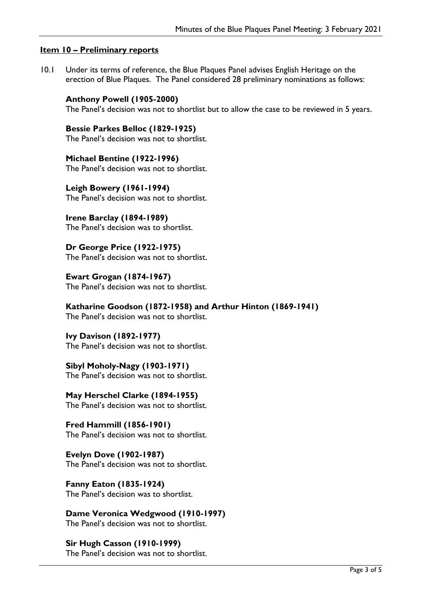## **Item 10 – Preliminary reports**

10.1 Under its terms of reference, the Blue Plaques Panel advises English Heritage on the erection of Blue Plaques. The Panel considered 28 preliminary nominations as follows:

**Anthony Powell (1905-2000)** The Panel's decision was not to shortlist but to allow the case to be reviewed in 5 years.

**Bessie Parkes Belloc (1829-1925)** The Panel's decision was not to shortlist.

**Michael Bentine (1922-1996)** The Panel's decision was not to shortlist.

**Leigh Bowery (1961-1994)** The Panel's decision was not to shortlist.

**Irene Barclay (1894-1989)** The Panel's decision was to shortlist.

**Dr George Price (1922-1975)** The Panel's decision was not to shortlist.

**Ewart Grogan (1874-1967)** The Panel's decision was not to shortlist.

**Katharine Goodson (1872-1958) and Arthur Hinton (1869-1941)**

The Panel's decision was not to shortlist.

**Ivy Davison (1892-1977)** The Panel's decision was not to shortlist.

**Sibyl Moholy-Nagy (1903-1971)** The Panel's decision was not to shortlist.

**May Herschel Clarke (1894-1955)** The Panel's decision was not to shortlist.

**Fred Hammill (1856-1901)** The Panel's decision was not to shortlist.

**Evelyn Dove (1902-1987)** The Panel's decision was not to shortlist.

**Fanny Eaton (1835-1924)** The Panel's decision was to shortlist.

**Dame Veronica Wedgwood (1910-1997)** The Panel's decision was not to shortlist.

**Sir Hugh Casson (1910-1999)** The Panel's decision was not to shortlist.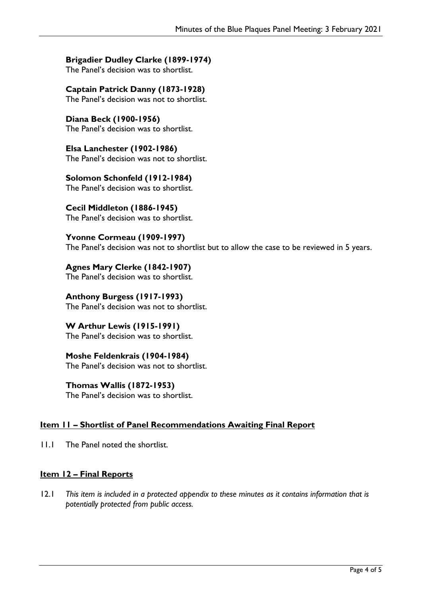# **Brigadier Dudley Clarke (1899-1974)**

The Panel's decision was to shortlist.

# **Captain Patrick Danny (1873-1928)**

The Panel's decision was not to shortlist.

#### **Diana Beck (1900-1956)** The Panel's decision was to shortlist.

**Elsa Lanchester (1902-1986)** The Panel's decision was not to shortlist.

# **Solomon Schonfeld (1912-1984)**

The Panel's decision was to shortlist.

# **Cecil Middleton (1886-1945)**

The Panel's decision was to shortlist.

# **Yvonne Cormeau (1909-1997)**

The Panel's decision was not to shortlist but to allow the case to be reviewed in 5 years.

#### **Agnes Mary Clerke (1842-1907)** The Panel's decision was to shortlist.

**Anthony Burgess (1917-1993)** The Panel's decision was not to shortlist.

# **W Arthur Lewis (1915-1991)** The Panel's decision was to shortlist.

# **Moshe Feldenkrais (1904-1984)** The Panel's decision was not to shortlist.

**Thomas Wallis (1872-1953)** The Panel's decision was to shortlist.

# **Item 11 – Shortlist of Panel Recommendations Awaiting Final Report**

11.1 The Panel noted the shortlist.

# **Item 12 – Final Reports**

12.1 *This item is included in a protected appendix to these minutes as it contains information that is potentially protected from public access.*